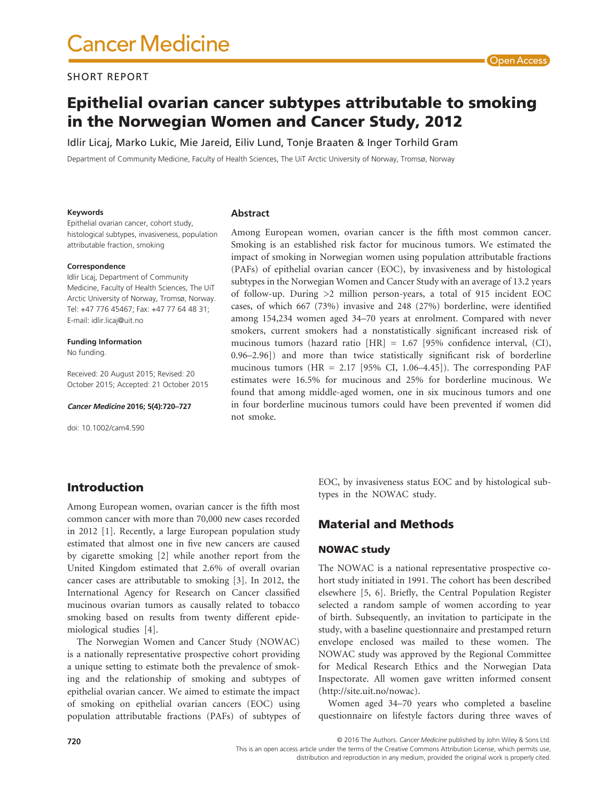# **Cancer Medicine**

#### SHORT REPORT

## Epithelial ovarian cancer subtypes attributable to smoking in the Norwegian Women and Cancer Study, 2012

Idlir Licaj, Marko Lukic, Mie Jareid, Eiliv Lund, Tonje Braaten & Inger Torhild Gram

Department of Community Medicine, Faculty of Health Sciences, The UiT Arctic University of Norway, Tromsø, Norway

#### **Keywords**

**Abstract**

Epithelial ovarian cancer, cohort study, histological subtypes, invasiveness, population attributable fraction, smoking

#### **Correspondence**

Idlir Licaj, Department of Community Medicine, Faculty of Health Sciences, The UiT Arctic University of Norway, Tromsø, Norway. Tel: +47 776 45467; Fax: +47 77 64 48 31; E-mail: [idlir.licaj@uit.no](mailto:idlir.licaj@uit.no)

#### **Funding Information**

No funding.

Received: 20 August 2015; Revised: 20 October 2015; Accepted: 21 October 2015

**Cancer Medicine 2016; 5(4):720–727**

doi: 10.1002/cam4.590

Among European women, ovarian cancer is the fifth most common cancer. Smoking is an established risk factor for mucinous tumors. We estimated the impact of smoking in Norwegian women using population attributable fractions (PAFs) of epithelial ovarian cancer (EOC), by invasiveness and by histological subtypes in the Norwegian Women and Cancer Study with an average of 13.2 years of follow-up. During >2 million person-years, a total of 915 incident EOC cases, of which 667 (73%) invasive and 248 (27%) borderline, were identified among 154,234 women aged 34–70 years at enrolment. Compared with never smokers, current smokers had a nonstatistically significant increased risk of mucinous tumors (hazard ratio [HR] = 1.67 [95% confidence interval, (CI), 0.96–2.96]) and more than twice statistically significant risk of borderline mucinous tumors (HR =  $2.17$  [95% CI, 1.06-4.45]). The corresponding PAF estimates were 16.5% for mucinous and 25% for borderline mucinous. We found that among middle-aged women, one in six mucinous tumors and one in four borderline mucinous tumors could have been prevented if women did not smoke.

#### Introduction

Among European women, ovarian cancer is the fifth most common cancer with more than 70,000 new cases recorded in 2012 [1]. Recently, a large European population study estimated that almost one in five new cancers are caused by cigarette smoking [2] while another report from the United Kingdom estimated that 2.6% of overall ovarian cancer cases are attributable to smoking [3]. In 2012, the International Agency for Research on Cancer classified mucinous ovarian tumors as causally related to tobacco smoking based on results from twenty different epidemiological studies [4].

The Norwegian Women and Cancer Study (NOWAC) is a nationally representative prospective cohort providing a unique setting to estimate both the prevalence of smoking and the relationship of smoking and subtypes of epithelial ovarian cancer. We aimed to estimate the impact of smoking on epithelial ovarian cancers (EOC) using population attributable fractions (PAFs) of subtypes of EOC, by invasiveness status EOC and by histological subtypes in the NOWAC study.

#### Material and Methods

#### NOWAC study

The NOWAC is a national representative prospective cohort study initiated in 1991. The cohort has been described elsewhere [5, 6]. Briefly, the Central Population Register selected a random sample of women according to year of birth. Subsequently, an invitation to participate in the study, with a baseline questionnaire and prestamped return envelope enclosed was mailed to these women. The NOWAC study was approved by the Regional Committee for Medical Research Ethics and the Norwegian Data Inspectorate. All women gave written informed consent [\(http://site.uit.no/nowac\)](http://site.uit.no/nowac).

Women aged 34–70 years who completed a baseline questionnaire on lifestyle factors during three waves of

© 2016 The Authors. *Cancer Medicine* published by John Wiley & Sons Ltd. This is an open access article under the terms of the Creative Commons Attribution License, which permits use, distribution and reproduction in any medium, provided the original work is properly cited.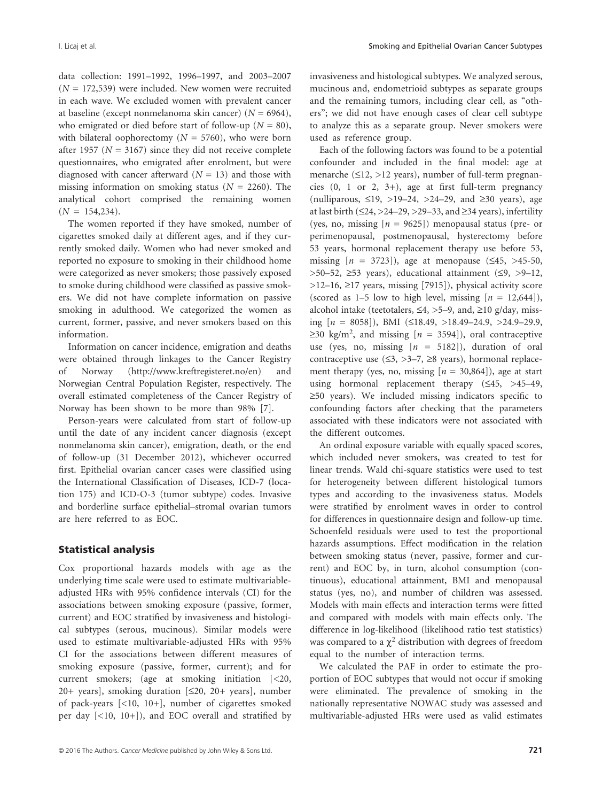data collection: 1991–1992, 1996–1997, and 2003–2007  $(N = 172,539)$  were included. New women were recruited in each wave. We excluded women with prevalent cancer at baseline (except nonmelanoma skin cancer) (*N* = 6964), who emigrated or died before start of follow-up ( $N = 80$ ), with bilateral oophorectomy  $(N = 5760)$ , who were born after 1957 ( $N = 3167$ ) since they did not receive complete questionnaires, who emigrated after enrolment, but were diagnosed with cancer afterward  $(N = 13)$  and those with missing information on smoking status ( $N = 2260$ ). The analytical cohort comprised the remaining women  $(N = 154,234)$ .

The women reported if they have smoked, number of cigarettes smoked daily at different ages, and if they currently smoked daily. Women who had never smoked and reported no exposure to smoking in their childhood home were categorized as never smokers; those passively exposed to smoke during childhood were classified as passive smokers. We did not have complete information on passive smoking in adulthood. We categorized the women as current, former, passive, and never smokers based on this information.

Information on cancer incidence, emigration and deaths were obtained through linkages to the Cancer Registry of Norway [\(http://www.kreftregisteret.no/en\)](http://www.kreftregisteret.no/en) and Norwegian Central Population Register, respectively. The overall estimated completeness of the Cancer Registry of Norway has been shown to be more than 98% [7].

Person-years were calculated from start of follow-up until the date of any incident cancer diagnosis (except nonmelanoma skin cancer), emigration, death, or the end of follow-up (31 December 2012), whichever occurred first. Epithelial ovarian cancer cases were classified using the International Classification of Diseases, ICD-7 (location 175) and ICD-O-3 (tumor subtype) codes. Invasive and borderline surface epithelial–stromal ovarian tumors are here referred to as EOC.

#### Statistical analysis

Cox proportional hazards models with age as the underlying time scale were used to estimate multivariableadjusted HRs with 95% confidence intervals (CI) for the associations between smoking exposure (passive, former, current) and EOC stratified by invasiveness and histological subtypes (serous, mucinous). Similar models were used to estimate multivariable-adjusted HRs with 95% CI for the associations between different measures of smoking exposure (passive, former, current); and for current smokers; (age at smoking initiation [<20, 20+ years], smoking duration [≤20, 20+ years], number of pack-years [<10, 10+], number of cigarettes smoked per day [<10, 10+]), and EOC overall and stratified by invasiveness and histological subtypes. We analyzed serous, mucinous and, endometrioid subtypes as separate groups and the remaining tumors, including clear cell, as "others"; we did not have enough cases of clear cell subtype to analyze this as a separate group. Never smokers were used as reference group.

Each of the following factors was found to be a potential confounder and included in the final model: age at menarche (≤12, >12 years), number of full-term pregnancies  $(0, 1 \text{ or } 2, 3+)$ , age at first full-term pregnancy (nulliparous, ≤19, >19–24, >24–29, and ≥30 years), age at last birth  $(\leq 24, >24-29, >29-33,$  and  $\geq 34$  years), infertility (yes, no, missing  $[n = 9625]$ ) menopausal status (pre- or perimenopausal, postmenopausal, hysterectomy before 53 years, hormonal replacement therapy use before 53, missing  $[n = 3723]$ , age at menopause ( $\leq 45$ ,  $>45-50$ ,  $>50-52$ ,  $\geq 53$  years), educational attainment ( $\leq 9$ ,  $>9-12$ , >12–16, ≥17 years, missing [7915]), physical activity score (scored as  $1-5$  low to high level, missing  $[n = 12,644]$ ), alcohol intake (teetotalers,  $\leq 4$ ,  $>5-9$ , and,  $\geq 10$  g/day, missing [*n* = 8058]), BMI (≤18.49, >18.49–24.9, >24.9–29.9,  $\geq$ 30 kg/m<sup>2</sup>, and missing  $[n = 3594]$ ), oral contraceptive use (yes, no, missing  $[n = 5182]$ ), duration of oral contraceptive use  $(≤3, >3-7, ≥8$  years), hormonal replacement therapy (yes, no, missing  $[n = 30,864]$ ), age at start using hormonal replacement therapy (≤45, >45–49, ≥50 years). We included missing indicators specific to confounding factors after checking that the parameters associated with these indicators were not associated with the different outcomes.

An ordinal exposure variable with equally spaced scores, which included never smokers, was created to test for linear trends. Wald chi-square statistics were used to test for heterogeneity between different histological tumors types and according to the invasiveness status. Models were stratified by enrolment waves in order to control for differences in questionnaire design and follow-up time. Schoenfeld residuals were used to test the proportional hazards assumptions. Effect modification in the relation between smoking status (never, passive, former and current) and EOC by, in turn, alcohol consumption (continuous), educational attainment, BMI and menopausal status (yes, no), and number of children was assessed. Models with main effects and interaction terms were fitted and compared with models with main effects only. The difference in log-likelihood (likelihood ratio test statistics) was compared to a  $\chi^2$  distribution with degrees of freedom equal to the number of interaction terms.

We calculated the PAF in order to estimate the proportion of EOC subtypes that would not occur if smoking were eliminated. The prevalence of smoking in the nationally representative NOWAC study was assessed and multivariable-adjusted HRs were used as valid estimates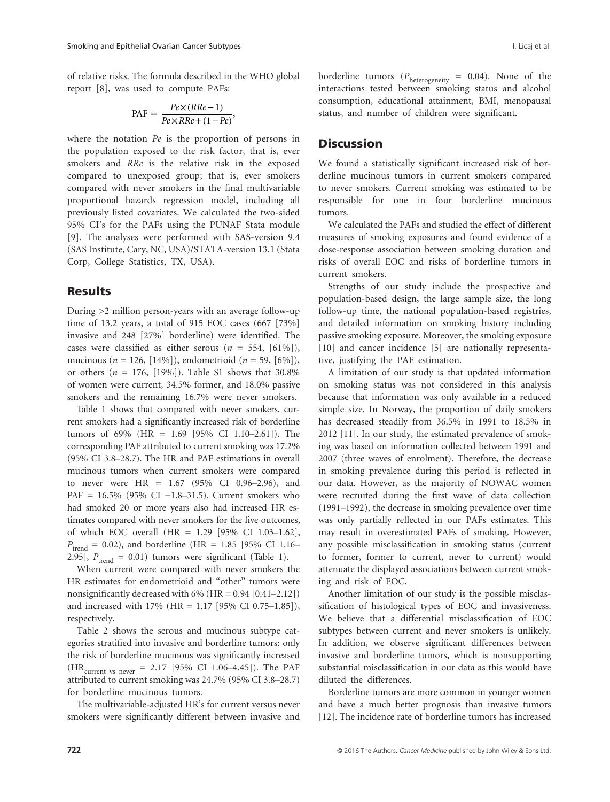of relative risks. The formula described in the WHO global report [8], was used to compute PAFs:

$$
PAF = \frac{Pe \times (RRe - 1)}{Pe \times RRe + (1 - Pe)},
$$

where the notation *Pe* is the proportion of persons in the population exposed to the risk factor, that is, ever smokers and *RRe* is the relative risk in the exposed compared to unexposed group; that is, ever smokers compared with never smokers in the final multivariable proportional hazards regression model, including all previously listed covariates. We calculated the two-sided 95% CI's for the PAFs using the PUNAF Stata module [9]. The analyses were performed with SAS-version 9.4 (SAS Institute, Cary, NC, USA)/STATA-version 13.1 (Stata Corp, College Statistics, TX, USA).

#### Results

During >2 million person-years with an average follow-up time of 13.2 years, a total of 915 EOC cases (667 [73%] invasive and 248 [27%] borderline) were identified. The cases were classified as either serous  $(n = 554, [61\%])$ , mucinous (*n* = 126, [14%]), endometrioid (*n* = 59, [6%]), or others  $(n = 176, [19\%])$ . Table S1 shows that 30.8% of women were current, 34.5% former, and 18.0% passive smokers and the remaining 16.7% were never smokers.

Table 1 shows that compared with never smokers, current smokers had a significantly increased risk of borderline tumors of 69% (HR = 1.69 [95% CI 1.10–2.61]). The corresponding PAF attributed to current smoking was 17.2% (95% CI 3.8–28.7). The HR and PAF estimations in overall mucinous tumors when current smokers were compared to never were HR = 1.67 (95% CI 0.96–2.96), and PAF = 16.5% (95% CI −1.8–31.5). Current smokers who had smoked 20 or more years also had increased HR estimates compared with never smokers for the five outcomes, of which EOC overall (HR = 1.29 [95% CI 1.03–1.62],  $P_{\text{trend}} = 0.02$ ), and borderline (HR = 1.85 [95% CI 1.16– 2.95],  $P_{trend} = 0.01$ ) tumors were significant (Table 1).

When current were compared with never smokers the HR estimates for endometrioid and "other" tumors were nonsignificantly decreased with  $6\%$  (HR = 0.94 [0.41–2.12]) and increased with 17% (HR = 1.17 [95% CI 0.75–1.85]), respectively.

Table 2 shows the serous and mucinous subtype categories stratified into invasive and borderline tumors: only the risk of borderline mucinous was significantly increased (HR<sub>current vs never</sub> = 2.17 [95% CI 1.06–4.45]). The PAF attributed to current smoking was 24.7% (95% CI 3.8–28.7) for borderline mucinous tumors.

The multivariable-adjusted HR's for current versus never smokers were significantly different between invasive and borderline tumors ( $P_{\text{heterogeneity}} = 0.04$ ). None of the interactions tested between smoking status and alcohol consumption, educational attainment, BMI, menopausal status, and number of children were significant.

#### **Discussion**

We found a statistically significant increased risk of borderline mucinous tumors in current smokers compared to never smokers. Current smoking was estimated to be responsible for one in four borderline mucinous tumors.

We calculated the PAFs and studied the effect of different measures of smoking exposures and found evidence of a dose-response association between smoking duration and risks of overall EOC and risks of borderline tumors in current smokers.

Strengths of our study include the prospective and population-based design, the large sample size, the long follow-up time, the national population-based registries, and detailed information on smoking history including passive smoking exposure. Moreover, the smoking exposure [10] and cancer incidence [5] are nationally representative, justifying the PAF estimation.

A limitation of our study is that updated information on smoking status was not considered in this analysis because that information was only available in a reduced simple size. In Norway, the proportion of daily smokers has decreased steadily from 36.5% in 1991 to 18.5% in 2012 [11]. In our study, the estimated prevalence of smoking was based on information collected between 1991 and 2007 (three waves of enrolment). Therefore, the decrease in smoking prevalence during this period is reflected in our data. However, as the majority of NOWAC women were recruited during the first wave of data collection (1991–1992), the decrease in smoking prevalence over time was only partially reflected in our PAFs estimates. This may result in overestimated PAFs of smoking. However, any possible misclassification in smoking status (current to former, former to current, never to current) would attenuate the displayed associations between current smoking and risk of EOC.

Another limitation of our study is the possible misclassification of histological types of EOC and invasiveness. We believe that a differential misclassification of EOC subtypes between current and never smokers is unlikely. In addition, we observe significant differences between invasive and borderline tumors, which is nonsupporting substantial misclassification in our data as this would have diluted the differences.

Borderline tumors are more common in younger women and have a much better prognosis than invasive tumors [12]. The incidence rate of borderline tumors has increased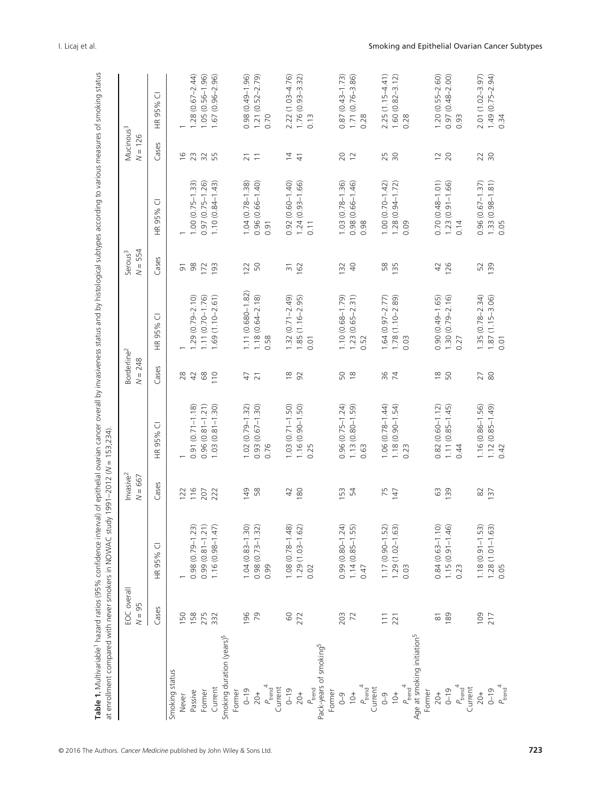| Table 1. Multivariable hazard ratios (95% confidence interval) of epithelial ovarian cancer overall by invasiveness status and by histological subtypes according to various measures of smoking status<br>at enrollment compared with never smokers in NOWAC study 1991-2012 (N = 153,234) |                         |                                                                                     |                                    |                          |                                      |                               |                                  |                             |                                    |                                      |
|---------------------------------------------------------------------------------------------------------------------------------------------------------------------------------------------------------------------------------------------------------------------------------------------|-------------------------|-------------------------------------------------------------------------------------|------------------------------------|--------------------------|--------------------------------------|-------------------------------|----------------------------------|-----------------------------|------------------------------------|--------------------------------------|
|                                                                                                                                                                                                                                                                                             | EOC overall<br>$N = 95$ |                                                                                     | Invasive <sup>2</sup><br>$N = 667$ |                          | Borderline <sup>2</sup><br>$N = 248$ |                               | $N = 554$<br>Serous <sup>3</sup> |                             | Mucinous <sup>3</sup><br>$N = 126$ |                                      |
|                                                                                                                                                                                                                                                                                             | Cases                   | ū<br>95%<br>$\frac{\alpha}{\pm}$                                                    | Cases                              | ū<br>HR 95%              | Cases                                | Ū<br>95%<br>$\widetilde{\pm}$ | Cases                            | こ<br>HR 95%                 | Cases                              | ○<br>95%<br>$\frac{\alpha}{\pm}$     |
| Smoking status                                                                                                                                                                                                                                                                              |                         |                                                                                     |                                    |                          |                                      |                               |                                  |                             |                                    |                                      |
| Never                                                                                                                                                                                                                                                                                       | 150                     |                                                                                     | 122                                |                          | 28                                   |                               | $\overline{5}$                   |                             | $\frac{6}{2}$                      |                                      |
| Passive                                                                                                                                                                                                                                                                                     | 158                     |                                                                                     | 116                                | $(0.71 - 1.18)$<br>0.91  | 42                                   | $1.29(0.79 - 2.10)$           | 98                               | $1.00(0.75 - 1.33)$         | 23                                 | $.28(0.67 - 2.44)$                   |
| Former                                                                                                                                                                                                                                                                                      | 275                     | $0.98(0.79 - 1.23)$<br>$0.99(0.81 - 1.21)$                                          | 207                                | $(0.81 - 1.21)$<br>0.96  | 68                                   | $1.11(0.70 - 1.76)$           | 172                              | $0.97(0.75 - 1.26)$         | $\approx$                          | $1.05(0.56 - 1.96)$                  |
| Current                                                                                                                                                                                                                                                                                     | 332                     | $1.16(0.98 - 1.47)$                                                                 | 222                                | $(0.81 - 1.30)$<br>1.03  | 110                                  | $1.69(1.10 - 2.61)$           | 193                              | $1.10(0.84 - 1.43)$         | 55                                 | $(0.96 - 2.96)$<br>1.67              |
| Smoking duration (years) <sup>5</sup>                                                                                                                                                                                                                                                       |                         |                                                                                     |                                    |                          |                                      |                               |                                  |                             |                                    |                                      |
| Former                                                                                                                                                                                                                                                                                      |                         |                                                                                     |                                    |                          |                                      |                               |                                  |                             |                                    |                                      |
| $0 - 19$                                                                                                                                                                                                                                                                                    | 196                     |                                                                                     | 149                                | $1.02(0.79 - 1.32)$      | 47                                   | 1.11 (0.680-1.82)             | 122                              | $1.04(0.78 - 1.38)$         | $\overline{2}$                     | $0.98(0.49 - 1.96)$                  |
| $20+$                                                                                                                                                                                                                                                                                       | 79                      | $1.04(0.83-1.30)$<br>$0.98(0.73-1.32)$                                              | 58                                 | $(0.67 - 1.30)$<br>0.93( | $\overline{21}$                      | $1.18(0.64 - 2.18)$           | 50                               | $0.96(0.66 - 1.40)$         | $\overline{1}$                     | $(0.52 - 2.79)$<br>1.21(             |
| $P_{\text{trend}}^{\prime}$                                                                                                                                                                                                                                                                 |                         | 0.99                                                                                |                                    | 0.76                     |                                      | 0.58                          |                                  | 0.91                        |                                    | 0.70                                 |
| Current                                                                                                                                                                                                                                                                                     |                         |                                                                                     |                                    |                          |                                      |                               |                                  |                             |                                    |                                      |
| $0 - 19$                                                                                                                                                                                                                                                                                    | 60                      |                                                                                     | $\overline{4}$                     | $1.03(0.71 - 1.50)$      | $\frac{\infty}{2}$                   | $1.32(0.71 - 2.49)$           | $\overline{5}$                   | $0.92(0.60 - 1.40)$         | $\overline{4}$                     | $2.22(1.03 - 4.76)$                  |
| $20+$                                                                                                                                                                                                                                                                                       | 272                     | $\begin{array}{c} 1.08 \ (0.78 - 1.48) \\ 1.29 \ (1.03 - 1.62) \end{array}$         | 180                                | $1.16(0.90 - 1.50)$      | 92                                   | $1.85(1.16 - 2.95)$           | 162                              | $1.24(0.93 - 1.66)$         | $\frac{4}{7}$                      | 1.76 (0.93-3.32)                     |
| $P_{\text{trend}}$                                                                                                                                                                                                                                                                          |                         | 0.02                                                                                |                                    | 0.25                     |                                      | 0.01                          |                                  | 0.11                        |                                    | 0.13                                 |
| Pack-years of smoking <sup>5</sup>                                                                                                                                                                                                                                                          |                         |                                                                                     |                                    |                          |                                      |                               |                                  |                             |                                    |                                      |
| Former                                                                                                                                                                                                                                                                                      |                         |                                                                                     |                                    |                          |                                      |                               |                                  |                             |                                    |                                      |
| $0 - 9$                                                                                                                                                                                                                                                                                     | 203                     |                                                                                     | 53                                 | $0.96(0.75 - 1.24)$      | 50                                   | $1.10(0.68 - 1.79)$           | 132                              | 1.03 (0.78-1.36)            | 20                                 | $(0.43 - 1.73)$<br>0.87              |
| $\frac{1}{2}$                                                                                                                                                                                                                                                                               | 72                      | $0.99(0.80 - 1.24)$<br>1.14 (0.85–1.55)                                             | 54                                 | $1.13(0.80 - 1.59)$      | $\frac{8}{10}$                       | $1.23(0.65 - 2.31)$           | $\Theta$                         | $0.98(0.66 - 1.46)$         | $\approx$                          | $1.71(0.76 - 3.86)$                  |
| $P_{\text{trend}}^4$                                                                                                                                                                                                                                                                        |                         | 0.47                                                                                |                                    | 0.63                     |                                      | 0.52                          |                                  | 0.98                        |                                    | 0.28                                 |
| Current                                                                                                                                                                                                                                                                                     |                         |                                                                                     |                                    |                          |                                      |                               |                                  |                             |                                    |                                      |
| $0 - 9$                                                                                                                                                                                                                                                                                     |                         |                                                                                     | 75                                 | $1.06(0.78 - 1.44)$      | 96                                   | $1.64(0.97 - 2.77)$           | 58                               | $1.00(0.70 - 1.42)$         | 25                                 | $2.25(1.15 - 4.41)$                  |
| $10+$                                                                                                                                                                                                                                                                                       | $\frac{111}{221}$       | $1.17(0.90-1.52)$<br>$1.29(1.02-1.63)$                                              | 147                                | $1.18(0.90 - 1.54)$      | 74                                   | $1.78(1.10 - 2.89)$           | 135                              | $1.28(0.94 - 1.72)$         | $\approx$                          | $(0.82 - 3.12)$<br>1.60 <sub>1</sub> |
| $P_{\text{trend}}$                                                                                                                                                                                                                                                                          |                         | 0.03                                                                                |                                    | 0.23                     |                                      | 0.03                          |                                  | 0.09                        |                                    | 0.28                                 |
| Age at smoking initiation <sup>5</sup>                                                                                                                                                                                                                                                      |                         |                                                                                     |                                    |                          |                                      |                               |                                  |                             |                                    |                                      |
| Former                                                                                                                                                                                                                                                                                      |                         |                                                                                     |                                    |                          |                                      |                               |                                  |                             |                                    |                                      |
| $20+$                                                                                                                                                                                                                                                                                       | $\overline{\infty}$     |                                                                                     | 63                                 | $0.82(0.60 - 1.12)$      | $\approx$                            | $0.90(0.49 - 1.65)$           | 42                               | $0.70(0.48 - 1.01)$         | $\overline{C}$                     | $1.20(0.55 - 2.60)$                  |
| $0 - 19$                                                                                                                                                                                                                                                                                    | 189                     | $\begin{array}{c} 0.84 \ (0.63 - 1.10) \\ 1.15 \ (0.91 - 1.46) \\ 0.23 \end{array}$ | 139                                | $1.11(0.85 - 1.45)$      | 50                                   | $1.30(0.79 - 2.16)$           | 126                              | $1.23(0.91 - 1.66)$         | 20                                 | $0.97(0.48 - 2.00)$                  |
| $P_{\rm trend}^{\phantom{0}}{}^4$                                                                                                                                                                                                                                                           |                         |                                                                                     |                                    | 0.44                     |                                      | 0.27                          |                                  | 0.14                        |                                    | 0.93                                 |
| Current                                                                                                                                                                                                                                                                                     |                         |                                                                                     |                                    |                          |                                      |                               |                                  |                             |                                    |                                      |
| $20+$                                                                                                                                                                                                                                                                                       | 109                     |                                                                                     | 82                                 | $1.16(0.86 - 1.56)$      | 27                                   | $1.35(0.78 - 2.34)$           | 52                               | $0.96(0.67 - 1.37)$         | 22                                 | $2.01(1.02 - 3.97)$                  |
| $0 - 19$                                                                                                                                                                                                                                                                                    | 217                     | 1.18 (0.91-1.53)<br>1.28 (1.01-1.63)<br>0.05                                        | 137                                | $1.12(0.85 - 1.49)$      | 80                                   | $1.87(1.15 - 3.06)$           | 139                              | $1.33(0.98 - 1.81)$<br>0.05 | $\overline{50}$                    | $1.49(0.75 - 2.94)$                  |
| $P_{trend}^4$                                                                                                                                                                                                                                                                               |                         |                                                                                     |                                    | 0.42                     |                                      | 0.01                          |                                  |                             |                                    | 0.34                                 |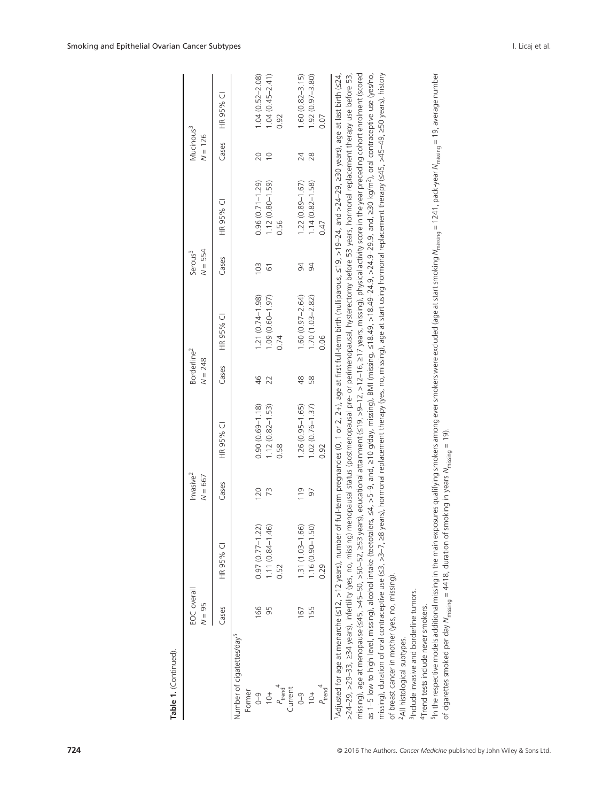| Table 1. (Continued)                                                         |                         |                                                                                                                                                                                                                                                                                                                                                                                                                                                                                                                                                                                                                                                                                                                                                                                                                   |                                    |                     |                                      |                     |                                  |                     |                                    |                     |
|------------------------------------------------------------------------------|-------------------------|-------------------------------------------------------------------------------------------------------------------------------------------------------------------------------------------------------------------------------------------------------------------------------------------------------------------------------------------------------------------------------------------------------------------------------------------------------------------------------------------------------------------------------------------------------------------------------------------------------------------------------------------------------------------------------------------------------------------------------------------------------------------------------------------------------------------|------------------------------------|---------------------|--------------------------------------|---------------------|----------------------------------|---------------------|------------------------------------|---------------------|
|                                                                              | EOC overall<br>$N = 95$ |                                                                                                                                                                                                                                                                                                                                                                                                                                                                                                                                                                                                                                                                                                                                                                                                                   | Invasive <sup>2</sup><br>$N = 667$ |                     | Borderline <sup>2</sup><br>$N = 248$ |                     | $N = 554$<br>Serous <sup>3</sup> |                     | Mucinous <sup>3</sup><br>$N = 126$ |                     |
|                                                                              | Cases                   | HR 95% CI                                                                                                                                                                                                                                                                                                                                                                                                                                                                                                                                                                                                                                                                                                                                                                                                         | Cases                              | HR 95% CI           | Cases                                | HR 95% CI           | Cases                            | HR 95% CI           | Cases                              | ⊽<br>HR 95%         |
| Number of cigatettes/day <sup>5</sup><br>Former                              |                         |                                                                                                                                                                                                                                                                                                                                                                                                                                                                                                                                                                                                                                                                                                                                                                                                                   |                                    |                     |                                      |                     |                                  |                     |                                    |                     |
| $\sqrt{9}$                                                                   | 166                     | $0.97(0.77 - 1.22)$                                                                                                                                                                                                                                                                                                                                                                                                                                                                                                                                                                                                                                                                                                                                                                                               | 120                                | $0.90(0.69 - 1.18)$ | 46                                   | $1.21(0.74 - 1.98)$ | 103                              | $0.96(0.71 - 1.29)$ | 20                                 | $1.04(0.52 - 2.08)$ |
| $10+$                                                                        | 95                      | $1.11(0.84 - 1.46)$                                                                                                                                                                                                                                                                                                                                                                                                                                                                                                                                                                                                                                                                                                                                                                                               | 73                                 | $1.12(0.82 - 1.53)$ | 22                                   | $1.09(0.60 - 1.97)$ | 61                               | $1.12(0.80 - 1.59)$ | $\supseteq$                        | $1.04(0.45 - 2.41)$ |
| $P_{\text{trend}}^4$<br>Current                                              |                         | 0.52                                                                                                                                                                                                                                                                                                                                                                                                                                                                                                                                                                                                                                                                                                                                                                                                              |                                    | 0.58                |                                      | 0.74                |                                  | 0.56                |                                    | 0.92                |
| $\sqrt{0}$                                                                   | 167                     | $1.31(1.03 - 1.66)$                                                                                                                                                                                                                                                                                                                                                                                                                                                                                                                                                                                                                                                                                                                                                                                               | 119                                | $1.26(0.95 - 1.65)$ | 48                                   | $1.60(0.97 - 2.64)$ | 94                               | $1.22(0.89 - 1.67)$ | 24                                 | $1.60(0.82 - 3.15)$ |
| $+01$                                                                        | 155                     | $1.16(0.90 - 1.50)$                                                                                                                                                                                                                                                                                                                                                                                                                                                                                                                                                                                                                                                                                                                                                                                               | 50                                 | $1.02(0.76 - 1.37)$ | 58                                   | $1.70(1.03 - 2.82)$ | 94                               | $1.14(0.82 - 1.58)$ | 28                                 | $1.92(0.97 - 3.80)$ |
| $P_{\text{trend}}^4$                                                         |                         | 0.29                                                                                                                                                                                                                                                                                                                                                                                                                                                                                                                                                                                                                                                                                                                                                                                                              |                                    | 0.92                |                                      | 0.06                |                                  | 0.47                |                                    | 0.07                |
| of breast cancer in mother (yes, no, missing).<br>All histological subtypes. |                         | missing), age at menopause (≤45, >45–50, >50–52, years), educational attainment (≤19, >12–12, >12–16, ≥17 years, missing), physical activity score in the year preceding cohort enrolment (scored<br>Adjusted for age at menarche (≤12, >12 years), number of full-term pregnancies (0, 1 or 2, 2+), age at first full-term birth (nulliparous, ≤19, >19-24, and >24-29, 230 years), age at last birth (≤24,<br>missing), duration of oral contraceptive use (≤3, >3-7, ≥8 years), hormonal replacement therapy (yes, no, missing), age at start using hormonal replacement therapy (≤45, >49-49, ≥50 years), history<br>>24-29, >234 years), infertility (yes, no, missing) menoppausal status (postmenopausal pre- or perimenopausal, hysterectomy before 53 years, hormonal replacement therapy use before 53, |                                    |                     |                                      |                     |                                  |                     |                                    |                     |
| <sup>3</sup> Include invasive and borderline tumors.                         |                         |                                                                                                                                                                                                                                                                                                                                                                                                                                                                                                                                                                                                                                                                                                                                                                                                                   |                                    |                     |                                      |                     |                                  |                     |                                    |                     |
| 4Trend tests include never smokers.                                          |                         | Fin the respective models additional missing in the main exposure Plumic finity ing system simplying smokers among excluded (age at start smoking M $_{\rm{mising}}$ = 1241, Dack-year M $_{\rm{mising}}$ = 19, average number                                                                                                                                                                                                                                                                                                                                                                                                                                                                                                                                                                                    |                                    |                     |                                      |                     |                                  |                     |                                    |                     |
|                                                                              |                         | of cigarettes smoked per day M <sub>missing</sub> = 4418, duration of smoking in years M <sub>missing</sub> = 19).                                                                                                                                                                                                                                                                                                                                                                                                                                                                                                                                                                                                                                                                                                |                                    |                     |                                      |                     |                                  |                     |                                    |                     |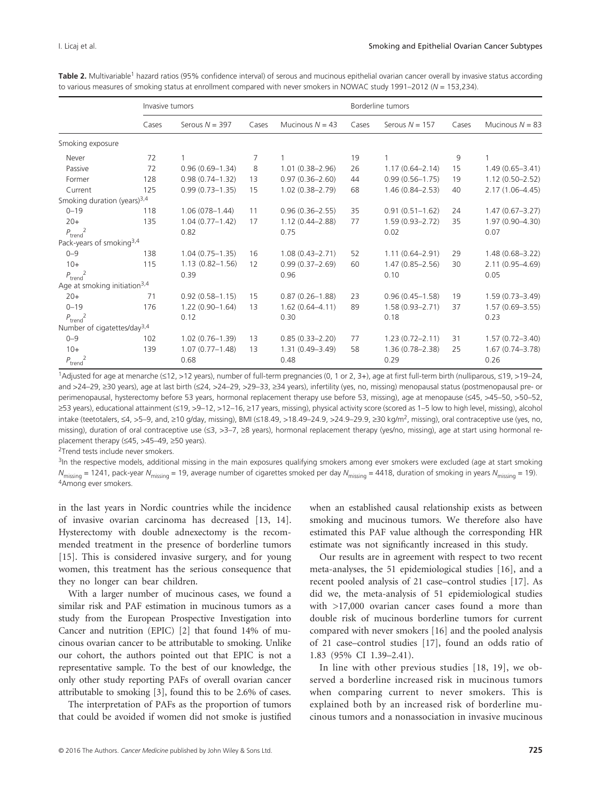Table 2. Multivariable<sup>1</sup> hazard ratios (95% confidence interval) of serous and mucinous epithelial ovarian cancer overall by invasive status according to various measures of smoking status at enrollment compared with never smokers in NOWAC study 1991–2012 (*N* = 153,234).

|                                          | Invasive tumors |                     |       |                     |       | Borderline tumors   |       |                     |
|------------------------------------------|-----------------|---------------------|-------|---------------------|-------|---------------------|-------|---------------------|
|                                          | Cases           | Serous $N = 397$    | Cases | Mucinous $N = 43$   | Cases | Serous $N = 157$    | Cases | Mucinous $N = 83$   |
| Smoking exposure                         |                 |                     |       |                     |       |                     |       |                     |
| Never                                    | 72              | 1                   | 7     |                     | 19    | $\mathbf{1}$        | 9     | $\mathbf{1}$        |
| Passive                                  | 72              | $0.96(0.69 - 1.34)$ | 8     | $1.01(0.38 - 2.96)$ | 26    | $1.17(0.64 - 2.14)$ | 15    | $1.49(0.65 - 3.41)$ |
| Former                                   | 128             | $0.98(0.74 - 1.32)$ | 13    | $0.97(0.36 - 2.60)$ | 44    | $0.99(0.56 - 1.75)$ | 19    | $1.12(0.50 - 2.52)$ |
| Current                                  | 125             | $0.99(0.73 - 1.35)$ | 15    | $1.02(0.38 - 2.79)$ | 68    | $1.46(0.84 - 2.53)$ | 40    | $2.17(1.06 - 4.45)$ |
| Smoking duration (years) <sup>3,4</sup>  |                 |                     |       |                     |       |                     |       |                     |
| $0 - 19$                                 | 118             | $1.06(078 - 1.44)$  | 11    | $0.96(0.36 - 2.55)$ | 35    | $0.91(0.51 - 1.62)$ | 24    | $1.47(0.67 - 3.27)$ |
| $20+$                                    | 135             | $1.04(0.77 - 1.42)$ | 17    | $1.12(0.44 - 2.88)$ | 77    | $1.59(0.93 - 2.72)$ | 35    | $1.97(0.90 - 4.30)$ |
| $P_{\text{trend}}^2$                     |                 | 0.82                |       | 0.75                |       | 0.02                |       | 0.07                |
| Pack-years of smoking <sup>3,4</sup>     |                 |                     |       |                     |       |                     |       |                     |
| $0 - 9$                                  | 138             | $1.04(0.75 - 1.35)$ | 16    | $1.08(0.43 - 2.71)$ | 52    | $1.11(0.64 - 2.91)$ | 29    | $1.48(0.68 - 3.22)$ |
| $10+$                                    | 115             | $1.13(0.82 - 1.56)$ | 12    | $0.99(0.37 - 2.69)$ | 60    | $1.47(0.85 - 2.56)$ | 30    | $2.11(0.95 - 4.69)$ |
| $P_{\text{trend}}^2$                     |                 | 0.39                |       | 0.96                |       | 0.10                |       | 0.05                |
| Age at smoking initiation <sup>3,4</sup> |                 |                     |       |                     |       |                     |       |                     |
| $20+$                                    | 71              | $0.92(0.58 - 1.15)$ | 15    | $0.87(0.26 - 1.88)$ | 23    | $0.96(0.45 - 1.58)$ | 19    | $1.59(0.73 - 3.49)$ |
| $0 - 19$                                 | 176             | $1.22(0.90 - 1.64)$ | 13    | $1.62(0.64 - 4.11)$ | 89    | $1.58(0.93 - 2.71)$ | 37    | $1.57(0.69 - 3.55)$ |
| $P_{\text{trend}}^2$                     |                 | 0.12                |       | 0.30                |       | 0.18                |       | 0.23                |
| Number of cigatettes/day <sup>3,4</sup>  |                 |                     |       |                     |       |                     |       |                     |
| $0 - 9$                                  | 102             | $1.02(0.76 - 1.39)$ | 13    | $0.85(0.33 - 2.20)$ | 77    | $1.23(0.72 - 2.11)$ | 31    | $1.57(0.72 - 3.40)$ |
| $10+$                                    | 139             | $1.07(0.77 - 1.48)$ | 13    | $1.31(0.49 - 3.49)$ | 58    | $1.36(0.78 - 2.38)$ | 25    | $1.67(0.74 - 3.78)$ |
| $P_{\text{trend}}^2$                     |                 | 0.68                |       | 0.48                |       | 0.29                |       | 0.26                |

1Adjusted for age at menarche (≤12, >12 years), number of full-term pregnancies (0, 1 or 2, 3+), age at first full-term birth (nulliparous, ≤19, >19–24, and >24–29, ≥30 years), age at last birth (≤24, >24–29, >29–33, ≥34 years), infertility (yes, no, missing) menopausal status (postmenopausal pre- or perimenopausal, hysterectomy before 53 years, hormonal replacement therapy use before 53, missing), age at menopause (≤45, >45–50, >50–52, ≥53 years), educational attainment (≤19, >9–12, >12–16, ≥17 years, missing), physical activity score (scored as 1–5 low to high level, missing), alcohol intake (teetotalers, ≤4, >5–9, and, ≥10 g/day, missing), BMI (≤18.49, >18.49–24.9, >24.9–29.9, ≥30 kg/m<sup>2</sup>, missing), oral contraceptive use (yes, no, missing), duration of oral contraceptive use (≤3, >3-7, ≥8 years), hormonal replacement therapy (yes/no, missing), age at start using hormonal replacement therapy (≤45, >45–49, ≥50 years).

<sup>2</sup>Trend tests include never smokers.

<sup>3</sup>In the respective models, additional missing in the main exposures qualifying smokers among ever smokers were excluded (age at start smoking *N*<sub>missing</sub> = 1241, pack-year *N*<sub>missing</sub> = 19, average number of cigarettes smoked per day *N*<sub>missing</sub> = 4418, duration of smoking in years *N*<sub>missing</sub> = 19). 4Among ever smokers.

in the last years in Nordic countries while the incidence of invasive ovarian carcinoma has decreased [13, 14]. Hysterectomy with double adnexectomy is the recommended treatment in the presence of borderline tumors [15]. This is considered invasive surgery, and for young women, this treatment has the serious consequence that they no longer can bear children.

With a larger number of mucinous cases, we found a similar risk and PAF estimation in mucinous tumors as a study from the European Prospective Investigation into Cancer and nutrition (EPIC) [2] that found 14% of mucinous ovarian cancer to be attributable to smoking. Unlike our cohort, the authors pointed out that EPIC is not a representative sample. To the best of our knowledge, the only other study reporting PAFs of overall ovarian cancer attributable to smoking [3], found this to be 2.6% of cases.

The interpretation of PAFs as the proportion of tumors that could be avoided if women did not smoke is justified when an established causal relationship exists as between smoking and mucinous tumors. We therefore also have estimated this PAF value although the corresponding HR estimate was not significantly increased in this study.

Our results are in agreement with respect to two recent meta-analyses, the 51 epidemiological studies [16], and a recent pooled analysis of 21 case–control studies [17]. As did we, the meta-analysis of 51 epidemiological studies with >17,000 ovarian cancer cases found a more than double risk of mucinous borderline tumors for current compared with never smokers [16] and the pooled analysis of 21 case–control studies [17], found an odds ratio of 1.83 (95% CI 1.39–2.41).

In line with other previous studies [18, 19], we observed a borderline increased risk in mucinous tumors when comparing current to never smokers. This is explained both by an increased risk of borderline mucinous tumors and a nonassociation in invasive mucinous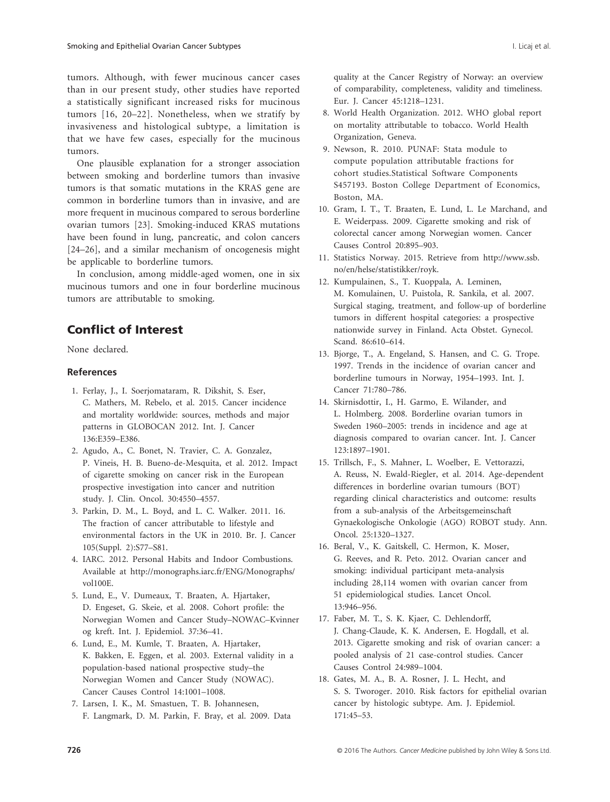tumors. Although, with fewer mucinous cancer cases than in our present study, other studies have reported a statistically significant increased risks for mucinous tumors [16, 20–22]. Nonetheless, when we stratify by invasiveness and histological subtype, a limitation is that we have few cases, especially for the mucinous tumors.

One plausible explanation for a stronger association between smoking and borderline tumors than invasive tumors is that somatic mutations in the KRAS gene are common in borderline tumors than in invasive, and are more frequent in mucinous compared to serous borderline ovarian tumors [23]. Smoking-induced KRAS mutations have been found in lung, pancreatic, and colon cancers [24–26], and a similar mechanism of oncogenesis might be applicable to borderline tumors.

In conclusion, among middle-aged women, one in six mucinous tumors and one in four borderline mucinous tumors are attributable to smoking.

### Conflict of Interest

None declared.

#### **References**

- 1. Ferlay, J., I. Soerjomataram, R. Dikshit, S. Eser, C. Mathers, M. Rebelo, et al. 2015. Cancer incidence and mortality worldwide: sources, methods and major patterns in GLOBOCAN 2012. Int. J. Cancer 136:E359–E386.
- 2. Agudo, A., C. Bonet, N. Travier, C. A. Gonzalez, P. Vineis, H. B. Bueno-de-Mesquita, et al. 2012. Impact of cigarette smoking on cancer risk in the European prospective investigation into cancer and nutrition study. J. Clin. Oncol. 30:4550–4557.
- 3. Parkin, D. M., L. Boyd, and L. C. Walker. 2011. 16. The fraction of cancer attributable to lifestyle and environmental factors in the UK in 2010. Br. J. Cancer 105(Suppl. 2):S77–S81.
- 4. IARC. 2012. Personal Habits and Indoor Combustions. Available at [http://monographs.iarc.fr/ENG/Monographs/](http://monographs.iarc.fr/ENG/Monographs/vol100E) [vol100E.](http://monographs.iarc.fr/ENG/Monographs/vol100E)
- 5. Lund, E., V. Dumeaux, T. Braaten, A. Hjartaker, D. Engeset, G. Skeie, et al. 2008. Cohort profile: the Norwegian Women and Cancer Study–NOWAC–Kvinner og kreft. Int. J. Epidemiol. 37:36–41.
- 6. Lund, E., M. Kumle, T. Braaten, A. Hjartaker, K. Bakken, E. Eggen, et al. 2003. External validity in a population-based national prospective study–the Norwegian Women and Cancer Study (NOWAC). Cancer Causes Control 14:1001–1008.
- 7. Larsen, I. K., M. Smastuen, T. B. Johannesen, F. Langmark, D. M. Parkin, F. Bray, et al. 2009. Data

quality at the Cancer Registry of Norway: an overview of comparability, completeness, validity and timeliness. Eur. J. Cancer 45:1218–1231.

- 8. World Health Organization. 2012. WHO global report on mortality attributable to tobacco. World Health Organization, Geneva.
- 9. Newson, R. 2010. PUNAF: Stata module to compute population attributable fractions for cohort studies.Statistical Software Components S457193. Boston College Department of Economics, Boston, MA.
- 10. Gram, I. T., T. Braaten, E. Lund, L. Le Marchand, and E. Weiderpass. 2009. Cigarette smoking and risk of colorectal cancer among Norwegian women. Cancer Causes Control 20:895–903.
- 11. Statistics Norway. 2015. Retrieve from [http://www.ssb.](http://www.ssb.no/en/helse/statistikker/royk) [no/en/helse/statistikker/royk](http://www.ssb.no/en/helse/statistikker/royk).
- 12. Kumpulainen, S., T. Kuoppala, A. Leminen, M. Komulainen, U. Puistola, R. Sankila, et al. 2007. Surgical staging, treatment, and follow-up of borderline tumors in different hospital categories: a prospective nationwide survey in Finland. Acta Obstet. Gynecol. Scand. 86:610–614.
- 13. Bjorge, T., A. Engeland, S. Hansen, and C. G. Trope. 1997. Trends in the incidence of ovarian cancer and borderline tumours in Norway, 1954–1993. Int. J. Cancer 71:780–786.
- 14. Skirnisdottir, I., H. Garmo, E. Wilander, and L. Holmberg. 2008. Borderline ovarian tumors in Sweden 1960–2005: trends in incidence and age at diagnosis compared to ovarian cancer. Int. J. Cancer 123:1897–1901.
- 15. Trillsch, F., S. Mahner, L. Woelber, E. Vettorazzi, A. Reuss, N. Ewald-Riegler, et al. 2014. Age-dependent differences in borderline ovarian tumours (BOT) regarding clinical characteristics and outcome: results from a sub-analysis of the Arbeitsgemeinschaft Gynaekologische Onkologie (AGO) ROBOT study. Ann. Oncol. 25:1320–1327.
- 16. Beral, V., K. Gaitskell, C. Hermon, K. Moser, G. Reeves, and R. Peto. 2012. Ovarian cancer and smoking: individual participant meta-analysis including 28,114 women with ovarian cancer from 51 epidemiological studies. Lancet Oncol. 13:946–956.
- 17. Faber, M. T., S. K. Kjaer, C. Dehlendorff, J. Chang-Claude, K. K. Andersen, E. Hogdall, et al. 2013. Cigarette smoking and risk of ovarian cancer: a pooled analysis of 21 case-control studies. Cancer Causes Control 24:989–1004.
- 18. Gates, M. A., B. A. Rosner, J. L. Hecht, and S. S. Tworoger. 2010. Risk factors for epithelial ovarian cancer by histologic subtype. Am. J. Epidemiol. 171:45–53.